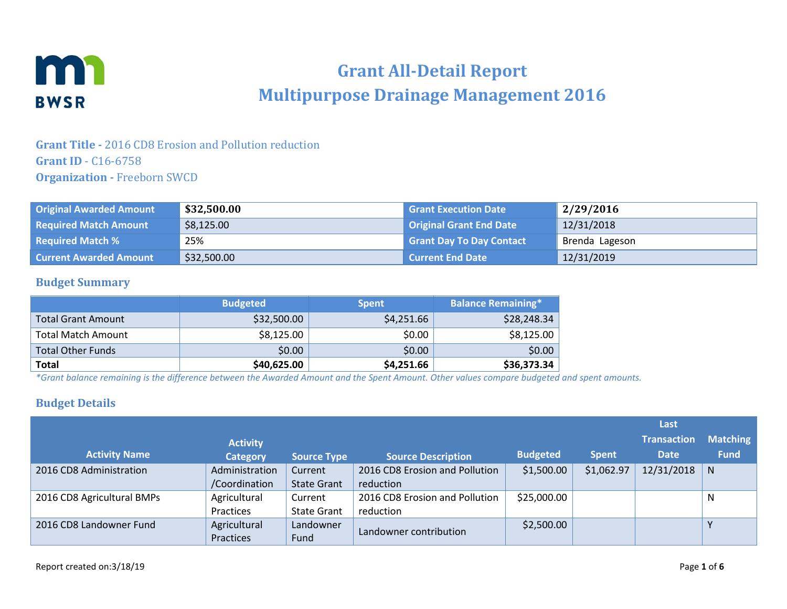

# **Grant All-Detail Report Multipurpose Drainage Management 2016**

### **Grant Title -** 2016 CD8 Erosion and Pollution reduction **Grant ID** - C16-6758 **Organization -** Freeborn SWCD

| <b>Original Awarded Amount</b> | \$32,500.00 | <b>Grant Execution Date</b>     | 2/29/2016      |
|--------------------------------|-------------|---------------------------------|----------------|
| <b>Required Match Amount</b>   | \$8,125.00  | <b>Original Grant End Date</b>  | 12/31/2018     |
| <b>Required Match %</b>        | 25%         | <b>Grant Day To Day Contact</b> | Brenda Lageson |
| <b>Current Awarded Amount</b>  | \$32,500.00 | <b>Current End Date</b>         | 12/31/2019     |

#### **Budget Summary**

|                           | <b>Budgeted</b> | <b>Spent</b> | <b>Balance Remaining*</b> |
|---------------------------|-----------------|--------------|---------------------------|
| <b>Total Grant Amount</b> | \$32,500.00     | \$4,251.66   | \$28,248.34               |
| <b>Total Match Amount</b> | \$8,125.00      | \$0.00       | \$8,125.00                |
| <b>Total Other Funds</b>  | \$0.00          | \$0.00       | \$0.00                    |
| <b>Total</b>              | \$40,625.00     | \$4,251.66   | \$36,373.34               |

*\*Grant balance remaining is the difference between the Awarded Amount and the Spent Amount. Other values compare budgeted and spent amounts.*

#### **Budget Details**

|                            |                 |                    |                                |                 |              | Last               |                 |
|----------------------------|-----------------|--------------------|--------------------------------|-----------------|--------------|--------------------|-----------------|
|                            | <b>Activity</b> |                    |                                |                 |              | <b>Transaction</b> | <b>Matching</b> |
| <b>Activity Name</b>       | <b>Category</b> | <b>Source Type</b> | <b>Source Description</b>      | <b>Budgeted</b> | <b>Spent</b> | <b>Date</b>        | <b>Fund</b>     |
| 2016 CD8 Administration    | Administration  | Current            | 2016 CD8 Erosion and Pollution | \$1,500.00      | \$1,062.97   | 12/31/2018         | N               |
|                            | /Coordination   | <b>State Grant</b> | reduction                      |                 |              |                    |                 |
| 2016 CD8 Agricultural BMPs | Agricultural    | Current            | 2016 CD8 Erosion and Pollution | \$25,000.00     |              |                    | N               |
|                            | Practices       | <b>State Grant</b> | reduction                      |                 |              |                    |                 |
| 2016 CD8 Landowner Fund    | Agricultural    | Landowner          |                                | \$2,500.00      |              |                    | Y               |
|                            | Practices       | Fund               | Landowner contribution         |                 |              |                    |                 |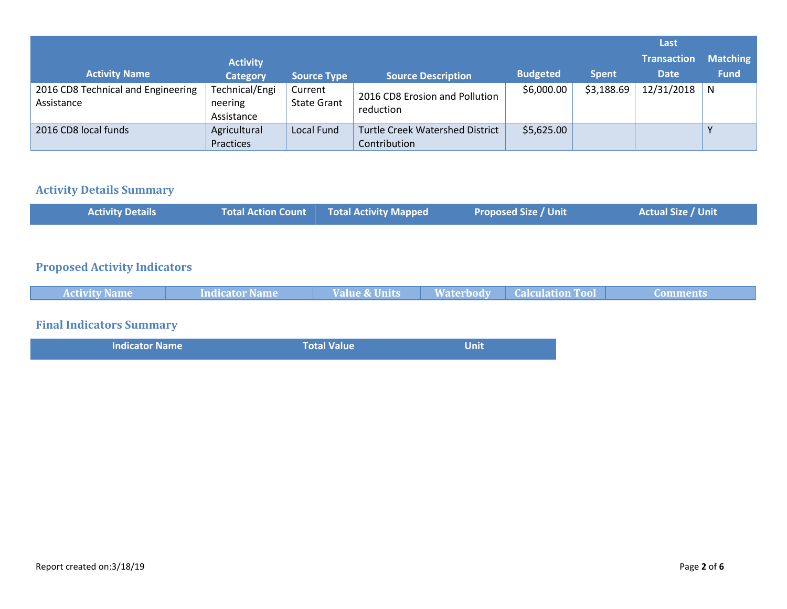|                                                  |                                         |                               |                                                        |                 |              | Last               |                 |
|--------------------------------------------------|-----------------------------------------|-------------------------------|--------------------------------------------------------|-----------------|--------------|--------------------|-----------------|
|                                                  | <b>Activity</b>                         |                               |                                                        |                 |              | <b>Transaction</b> | <b>Matching</b> |
| <b>Activity Name</b>                             | <b>Category</b>                         | <b>Source Type</b>            | <b>Source Description</b>                              | <b>Budgeted</b> | <b>Spent</b> | <b>Date</b>        | <b>Fund</b>     |
| 2016 CD8 Technical and Engineering<br>Assistance | Technical/Engi<br>neering<br>Assistance | Current<br><b>State Grant</b> | 2016 CD8 Erosion and Pollution<br>reduction            | \$6,000.00      | \$3,188.69   | 12/31/2018         | <b>N</b>        |
| 2016 CD8 local funds                             | Agricultural<br>Practices               | <b>Local Fund</b>             | <b>Turtle Creek Watershed District</b><br>Contribution | \$5,625.00      |              |                    | v               |

# **Activity Details Summary**

| <b>Activity Details</b> | Total Action Count Total Activity Mapped | Proposed Size / Unit | <b>Actual Size / Unit</b> |
|-------------------------|------------------------------------------|----------------------|---------------------------|
|-------------------------|------------------------------------------|----------------------|---------------------------|

### **Proposed Activity Indicators**

| <b>Activity Name</b> | Indicator Name | Value & Units | <b>Waterbody   Calculation Tool  </b> | Comments |
|----------------------|----------------|---------------|---------------------------------------|----------|
|                      |                |               |                                       |          |

# **Final Indicators Summary**

|  | <b>Indicator Name</b> | Total Value | Unit |
|--|-----------------------|-------------|------|
|--|-----------------------|-------------|------|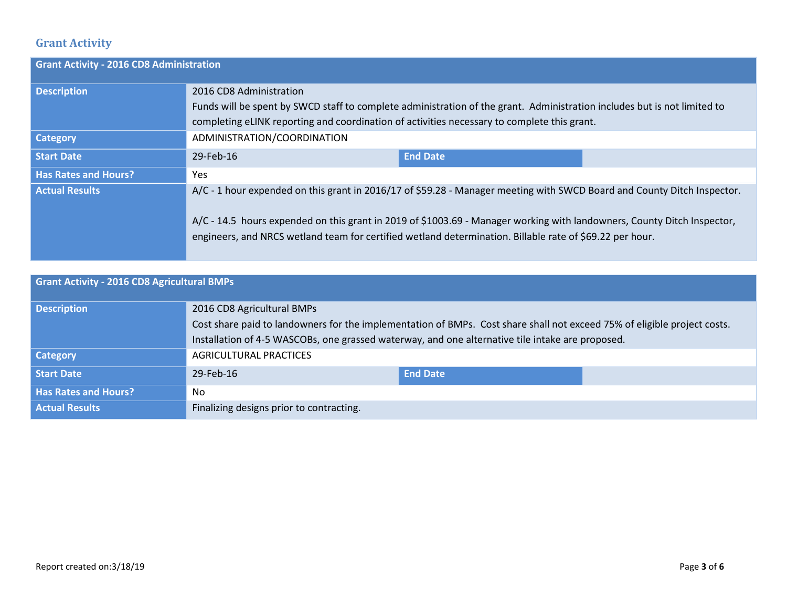### **Grant Activity**

| <b>Grant Activity - 2016 CD8 Administration</b> |                                                                                                                                                                                                                                                                                                                                                                |                 |  |
|-------------------------------------------------|----------------------------------------------------------------------------------------------------------------------------------------------------------------------------------------------------------------------------------------------------------------------------------------------------------------------------------------------------------------|-----------------|--|
| <b>Description</b>                              | 2016 CD8 Administration<br>Funds will be spent by SWCD staff to complete administration of the grant. Administration includes but is not limited to                                                                                                                                                                                                            |                 |  |
|                                                 | completing eLINK reporting and coordination of activities necessary to complete this grant.                                                                                                                                                                                                                                                                    |                 |  |
| <b>Category</b>                                 | ADMINISTRATION/COORDINATION                                                                                                                                                                                                                                                                                                                                    |                 |  |
| <b>Start Date</b>                               | 29-Feb-16                                                                                                                                                                                                                                                                                                                                                      | <b>End Date</b> |  |
| <b>Has Rates and Hours?</b>                     | Yes                                                                                                                                                                                                                                                                                                                                                            |                 |  |
| <b>Actual Results</b>                           | A/C - 1 hour expended on this grant in 2016/17 of \$59.28 - Manager meeting with SWCD Board and County Ditch Inspector.<br>A/C - 14.5 hours expended on this grant in 2019 of \$1003.69 - Manager working with landowners, County Ditch Inspector,<br>engineers, and NRCS wetland team for certified wetland determination. Billable rate of \$69.22 per hour. |                 |  |

| <b>Grant Activity - 2016 CD8 Agricultural BMPs</b> |                                                                                                                          |                 |  |  |
|----------------------------------------------------|--------------------------------------------------------------------------------------------------------------------------|-----------------|--|--|
| <b>Description</b>                                 | 2016 CD8 Agricultural BMPs                                                                                               |                 |  |  |
|                                                    | Cost share paid to landowners for the implementation of BMPs. Cost share shall not exceed 75% of eligible project costs. |                 |  |  |
|                                                    | Installation of 4-5 WASCOBs, one grassed waterway, and one alternative tile intake are proposed.                         |                 |  |  |
| <b>Category</b>                                    | <b>AGRICULTURAL PRACTICES</b>                                                                                            |                 |  |  |
| <b>Start Date</b>                                  | 29-Feb-16                                                                                                                | <b>End Date</b> |  |  |
| <b>Has Rates and Hours?</b>                        | No.                                                                                                                      |                 |  |  |
| <b>Actual Results</b>                              | Finalizing designs prior to contracting.                                                                                 |                 |  |  |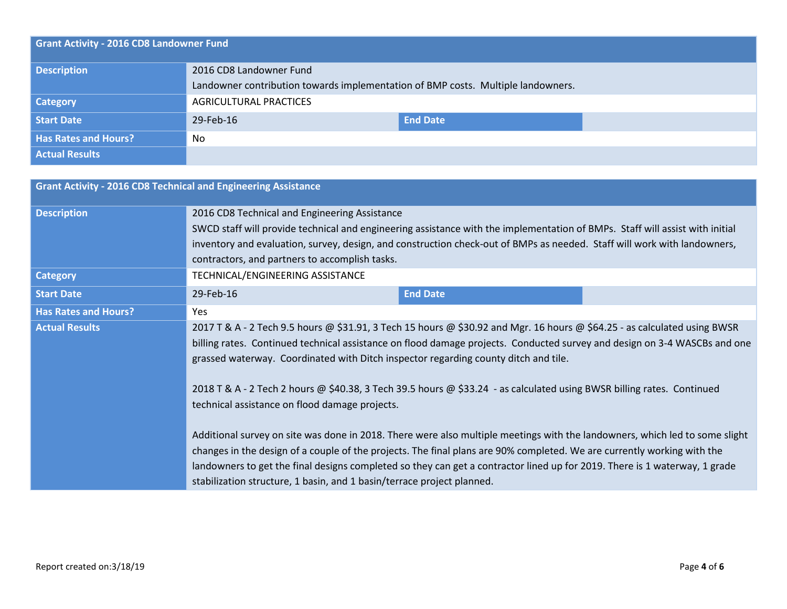| <b>Grant Activity - 2016 CD8 Landowner Fund</b> |                                                                                  |                 |  |  |
|-------------------------------------------------|----------------------------------------------------------------------------------|-----------------|--|--|
| <b>Description</b>                              | 2016 CD8 Landowner Fund                                                          |                 |  |  |
|                                                 | Landowner contribution towards implementation of BMP costs. Multiple landowners. |                 |  |  |
| <b>Category</b>                                 | AGRICULTURAL PRACTICES                                                           |                 |  |  |
| Start Date                                      | 29-Feb-16                                                                        | <b>End Date</b> |  |  |
| <b>Has Rates and Hours?</b>                     | No                                                                               |                 |  |  |
| <b>Actual Results</b>                           |                                                                                  |                 |  |  |

| <b>Grant Activity - 2016 CD8 Technical and Engineering Assistance</b> |                                                                                                                                                                                                                                                                                                                                                                                                                                                                                                                                                                                                                                                                                                                                                                                                                                                                                                                                                                                             |                 |  |  |  |
|-----------------------------------------------------------------------|---------------------------------------------------------------------------------------------------------------------------------------------------------------------------------------------------------------------------------------------------------------------------------------------------------------------------------------------------------------------------------------------------------------------------------------------------------------------------------------------------------------------------------------------------------------------------------------------------------------------------------------------------------------------------------------------------------------------------------------------------------------------------------------------------------------------------------------------------------------------------------------------------------------------------------------------------------------------------------------------|-----------------|--|--|--|
| <b>Description</b>                                                    | 2016 CD8 Technical and Engineering Assistance<br>SWCD staff will provide technical and engineering assistance with the implementation of BMPs. Staff will assist with initial<br>inventory and evaluation, survey, design, and construction check-out of BMPs as needed. Staff will work with landowners,<br>contractors, and partners to accomplish tasks.                                                                                                                                                                                                                                                                                                                                                                                                                                                                                                                                                                                                                                 |                 |  |  |  |
| <b>Category</b>                                                       | TECHNICAL/ENGINEERING ASSISTANCE                                                                                                                                                                                                                                                                                                                                                                                                                                                                                                                                                                                                                                                                                                                                                                                                                                                                                                                                                            |                 |  |  |  |
| <b>Start Date</b>                                                     | 29-Feb-16                                                                                                                                                                                                                                                                                                                                                                                                                                                                                                                                                                                                                                                                                                                                                                                                                                                                                                                                                                                   | <b>End Date</b> |  |  |  |
| <b>Has Rates and Hours?</b>                                           | <b>Yes</b>                                                                                                                                                                                                                                                                                                                                                                                                                                                                                                                                                                                                                                                                                                                                                                                                                                                                                                                                                                                  |                 |  |  |  |
| <b>Actual Results</b>                                                 | 2017 T & A - 2 Tech 9.5 hours @ \$31.91, 3 Tech 15 hours @ \$30.92 and Mgr. 16 hours @ \$64.25 - as calculated using BWSR<br>billing rates. Continued technical assistance on flood damage projects. Conducted survey and design on 3-4 WASCBs and one<br>grassed waterway. Coordinated with Ditch inspector regarding county ditch and tile.<br>2018 T & A - 2 Tech 2 hours @ \$40.38, 3 Tech 39.5 hours @ \$33.24 - as calculated using BWSR billing rates. Continued<br>technical assistance on flood damage projects.<br>Additional survey on site was done in 2018. There were also multiple meetings with the landowners, which led to some slight<br>changes in the design of a couple of the projects. The final plans are 90% completed. We are currently working with the<br>landowners to get the final designs completed so they can get a contractor lined up for 2019. There is 1 waterway, 1 grade<br>stabilization structure, 1 basin, and 1 basin/terrace project planned. |                 |  |  |  |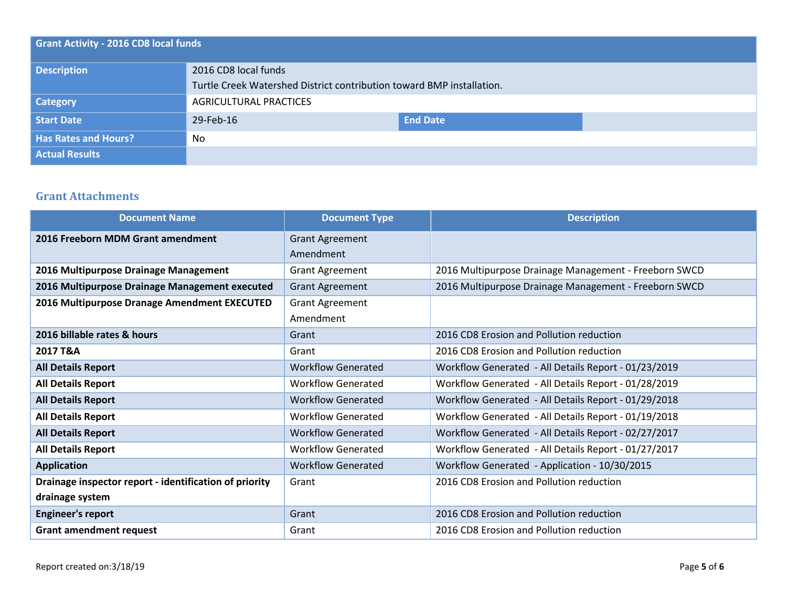| <b>Grant Activity - 2016 CD8 local funds</b> |                                                                       |                 |  |  |
|----------------------------------------------|-----------------------------------------------------------------------|-----------------|--|--|
| <b>Description</b>                           | 2016 CD8 local funds                                                  |                 |  |  |
|                                              | Turtle Creek Watershed District contribution toward BMP installation. |                 |  |  |
| <b>Category</b>                              | AGRICULTURAL PRACTICES                                                |                 |  |  |
| Start Date                                   | 29-Feb-16                                                             | <b>End Date</b> |  |  |
| <b>Has Rates and Hours?</b>                  | No                                                                    |                 |  |  |
| <b>Actual Results</b>                        |                                                                       |                 |  |  |

### **Grant Attachments**

| <b>Document Name</b>                                   | <b>Document Type</b>      | <b>Description</b>                                    |
|--------------------------------------------------------|---------------------------|-------------------------------------------------------|
| 2016 Freeborn MDM Grant amendment                      | <b>Grant Agreement</b>    |                                                       |
|                                                        | Amendment                 |                                                       |
| 2016 Multipurpose Drainage Management                  | <b>Grant Agreement</b>    | 2016 Multipurpose Drainage Management - Freeborn SWCD |
| 2016 Multipurpose Drainage Management executed         | <b>Grant Agreement</b>    | 2016 Multipurpose Drainage Management - Freeborn SWCD |
| 2016 Multipurpose Dranage Amendment EXECUTED           | <b>Grant Agreement</b>    |                                                       |
|                                                        | Amendment                 |                                                       |
| 2016 billable rates & hours                            | Grant                     | 2016 CD8 Erosion and Pollution reduction              |
| 2017 T&A                                               | Grant                     | 2016 CD8 Erosion and Pollution reduction              |
| <b>All Details Report</b>                              | <b>Workflow Generated</b> | Workflow Generated - All Details Report - 01/23/2019  |
| <b>All Details Report</b>                              | <b>Workflow Generated</b> | Workflow Generated - All Details Report - 01/28/2019  |
| <b>All Details Report</b>                              | <b>Workflow Generated</b> | Workflow Generated - All Details Report - 01/29/2018  |
| <b>All Details Report</b>                              | <b>Workflow Generated</b> | Workflow Generated - All Details Report - 01/19/2018  |
| <b>All Details Report</b>                              | <b>Workflow Generated</b> | Workflow Generated - All Details Report - 02/27/2017  |
| <b>All Details Report</b>                              | <b>Workflow Generated</b> | Workflow Generated - All Details Report - 01/27/2017  |
| <b>Application</b>                                     | <b>Workflow Generated</b> | Workflow Generated - Application - 10/30/2015         |
| Drainage inspector report - identification of priority | Grant                     | 2016 CD8 Erosion and Pollution reduction              |
| drainage system                                        |                           |                                                       |
| <b>Engineer's report</b>                               | Grant                     | 2016 CD8 Erosion and Pollution reduction              |
| <b>Grant amendment request</b>                         | Grant                     | 2016 CD8 Erosion and Pollution reduction              |